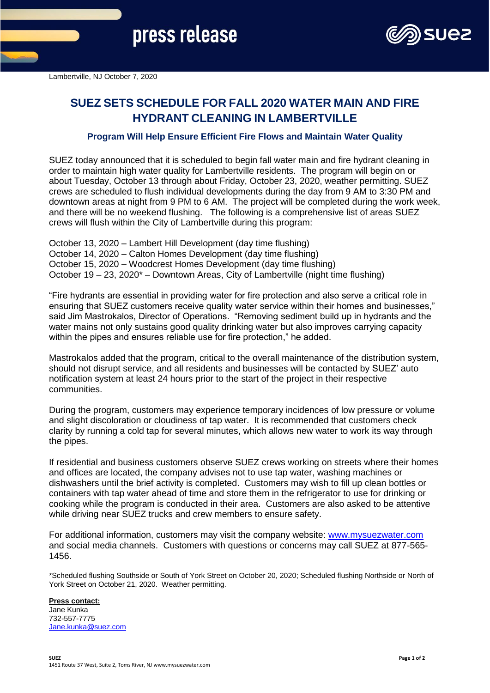

# **SUEZ SETS SCHEDULE FOR FALL 2020 WATER MAIN AND FIRE HYDRANT CLEANING IN LAMBERTVILLE**

## **Program Will Help Ensure Efficient Fire Flows and Maintain Water Quality**

SUEZ today announced that it is scheduled to begin fall water main and fire hydrant cleaning in order to maintain high water quality for Lambertville residents. The program will begin on or about Tuesday, October 13 through about Friday, October 23, 2020, weather permitting. SUEZ crews are scheduled to flush individual developments during the day from 9 AM to 3:30 PM and downtown areas at night from 9 PM to 6 AM. The project will be completed during the work week, and there will be no weekend flushing. The following is a comprehensive list of areas SUEZ crews will flush within the City of Lambertville during this program:

October 13, 2020 – Lambert Hill Development (day time flushing) October 14, 2020 – Calton Homes Development (day time flushing) October 15, 2020 – Woodcrest Homes Development (day time flushing) October 19 – 23, 2020\* – Downtown Areas, City of Lambertville (night time flushing)

"Fire hydrants are essential in providing water for fire protection and also serve a critical role in ensuring that SUEZ customers receive quality water service within their homes and businesses," said Jim Mastrokalos, Director of Operations. "Removing sediment build up in hydrants and the water mains not only sustains good quality drinking water but also improves carrying capacity within the pipes and ensures reliable use for fire protection," he added.

Mastrokalos added that the program, critical to the overall maintenance of the distribution system, should not disrupt service, and all residents and businesses will be contacted by SUEZ' auto notification system at least 24 hours prior to the start of the project in their respective communities.

During the program, customers may experience temporary incidences of low pressure or volume and slight discoloration or cloudiness of tap water. It is recommended that customers check clarity by running a cold tap for several minutes, which allows new water to work its way through the pipes.

If residential and business customers observe SUEZ crews working on streets where their homes and offices are located, the company advises not to use tap water, washing machines or dishwashers until the brief activity is completed. Customers may wish to fill up clean bottles or containers with tap water ahead of time and store them in the refrigerator to use for drinking or cooking while the program is conducted in their area. Customers are also asked to be attentive while driving near SUEZ trucks and crew members to ensure safety.

For additional information, customers may visit the company website: [www.mysuezwater.com](http://www.mysuezwater.com/) and social media channels. Customers with questions or concerns may call SUEZ at 877-565- 1456.

\*Scheduled flushing Southside or South of York Street on October 20, 2020; Scheduled flushing Northside or North of York Street on October 21, 2020. Weather permitting.

### **Press contact:**

Jane Kunka 732-557-7775 [Jane.kunka@suez.com](mailto:Jane.kunka@suez.com)